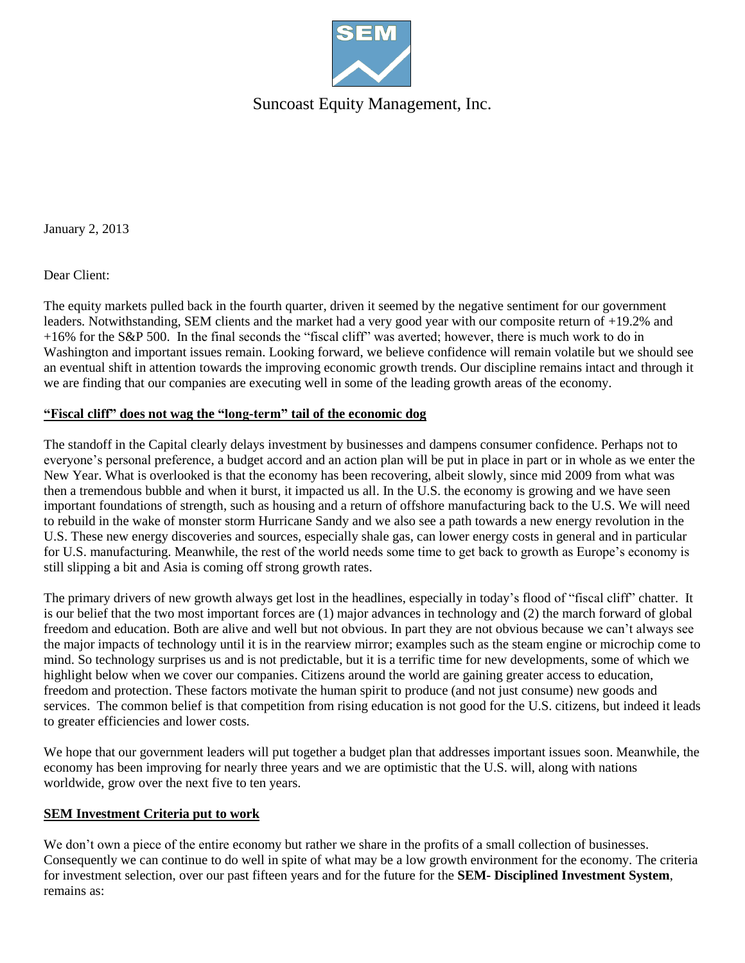

Suncoast Equity Management, Inc.

January 2, 2013

Dear Client:

The equity markets pulled back in the fourth quarter, driven it seemed by the negative sentiment for our government leaders. Notwithstanding, SEM clients and the market had a very good year with our composite return of +19.2% and +16% for the S&P 500. In the final seconds the "fiscal cliff" was averted; however, there is much work to do in Washington and important issues remain. Looking forward, we believe confidence will remain volatile but we should see an eventual shift in attention towards the improving economic growth trends. Our discipline remains intact and through it we are finding that our companies are executing well in some of the leading growth areas of the economy.

## **"Fiscal cliff" does not wag the "long-term" tail of the economic dog**

The standoff in the Capital clearly delays investment by businesses and dampens consumer confidence. Perhaps not to everyone's personal preference, a budget accord and an action plan will be put in place in part or in whole as we enter the New Year. What is overlooked is that the economy has been recovering, albeit slowly, since mid 2009 from what was then a tremendous bubble and when it burst, it impacted us all. In the U.S. the economy is growing and we have seen important foundations of strength, such as housing and a return of offshore manufacturing back to the U.S. We will need to rebuild in the wake of monster storm Hurricane Sandy and we also see a path towards a new energy revolution in the U.S. These new energy discoveries and sources, especially shale gas, can lower energy costs in general and in particular for U.S. manufacturing. Meanwhile, the rest of the world needs some time to get back to growth as Europe's economy is still slipping a bit and Asia is coming off strong growth rates.

The primary drivers of new growth always get lost in the headlines, especially in today's flood of "fiscal cliff" chatter. It is our belief that the two most important forces are (1) major advances in technology and (2) the march forward of global freedom and education. Both are alive and well but not obvious. In part they are not obvious because we can't always see the major impacts of technology until it is in the rearview mirror; examples such as the steam engine or microchip come to mind. So technology surprises us and is not predictable, but it is a terrific time for new developments, some of which we highlight below when we cover our companies. Citizens around the world are gaining greater access to education, freedom and protection. These factors motivate the human spirit to produce (and not just consume) new goods and services. The common belief is that competition from rising education is not good for the U.S. citizens, but indeed it leads to greater efficiencies and lower costs.

We hope that our government leaders will put together a budget plan that addresses important issues soon. Meanwhile, the economy has been improving for nearly three years and we are optimistic that the U.S. will, along with nations worldwide, grow over the next five to ten years.

#### **SEM Investment Criteria put to work**

We don't own a piece of the entire economy but rather we share in the profits of a small collection of businesses. Consequently we can continue to do well in spite of what may be a low growth environment for the economy. The criteria for investment selection, over our past fifteen years and for the future for the **SEM- Disciplined Investment System**, remains as: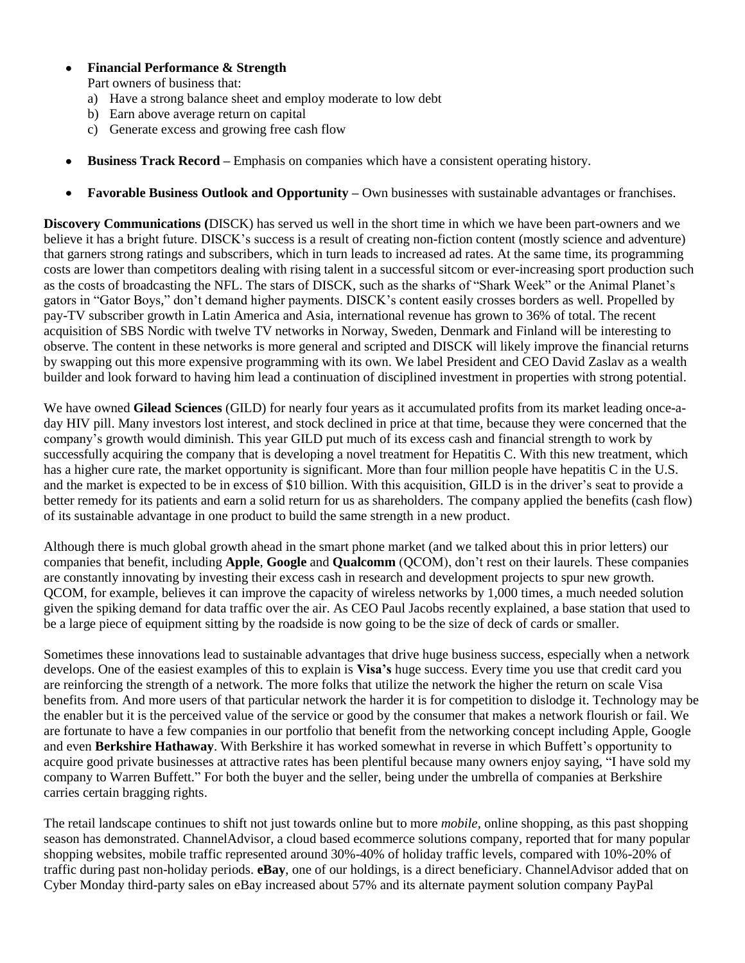## **Financial Performance & Strength**

Part owners of business that:

- a) Have a strong balance sheet and employ moderate to low debt
- b) Earn above average return on capital
- c) Generate excess and growing free cash flow
- **Business Track Record –** Emphasis on companies which have a consistent operating history.  $\bullet$
- **Favorable Business Outlook and Opportunity –** Own businesses with sustainable advantages or franchises.  $\bullet$

**Discovery Communications (**DISCK) has served us well in the short time in which we have been part-owners and we believe it has a bright future. DISCK's success is a result of creating non-fiction content (mostly science and adventure) that garners strong ratings and subscribers, which in turn leads to increased ad rates. At the same time, its programming costs are lower than competitors dealing with rising talent in a successful sitcom or ever-increasing sport production such as the costs of broadcasting the NFL. The stars of DISCK, such as the sharks of "Shark Week" or the Animal Planet's gators in "Gator Boys," don't demand higher payments. DISCK's content easily crosses borders as well. Propelled by pay-TV subscriber growth in Latin America and Asia, international revenue has grown to 36% of total. The recent acquisition of SBS Nordic with twelve TV networks in Norway, Sweden, Denmark and Finland will be interesting to observe. The content in these networks is more general and scripted and DISCK will likely improve the financial returns by swapping out this more expensive programming with its own. We label President and CEO David Zaslav as a wealth builder and look forward to having him lead a continuation of disciplined investment in properties with strong potential.

We have owned **Gilead Sciences** (GILD) for nearly four years as it accumulated profits from its market leading once-aday HIV pill. Many investors lost interest, and stock declined in price at that time, because they were concerned that the company's growth would diminish. This year GILD put much of its excess cash and financial strength to work by successfully acquiring the company that is developing a novel treatment for Hepatitis C. With this new treatment, which has a higher cure rate, the market opportunity is significant. More than four million people have hepatitis C in the U.S. and the market is expected to be in excess of \$10 billion. With this acquisition, GILD is in the driver's seat to provide a better remedy for its patients and earn a solid return for us as shareholders. The company applied the benefits (cash flow) of its sustainable advantage in one product to build the same strength in a new product.

Although there is much global growth ahead in the smart phone market (and we talked about this in prior letters) our companies that benefit, including **Apple**, **Google** and **Qualcomm** (QCOM), don't rest on their laurels. These companies are constantly innovating by investing their excess cash in research and development projects to spur new growth. QCOM, for example, believes it can improve the capacity of wireless networks by 1,000 times, a much needed solution given the spiking demand for data traffic over the air. As CEO Paul Jacobs recently explained, a base station that used to be a large piece of equipment sitting by the roadside is now going to be the size of deck of cards or smaller.

Sometimes these innovations lead to sustainable advantages that drive huge business success, especially when a network develops. One of the easiest examples of this to explain is **Visa's** huge success. Every time you use that credit card you are reinforcing the strength of a network. The more folks that utilize the network the higher the return on scale Visa benefits from. And more users of that particular network the harder it is for competition to dislodge it. Technology may be the enabler but it is the perceived value of the service or good by the consumer that makes a network flourish or fail. We are fortunate to have a few companies in our portfolio that benefit from the networking concept including Apple, Google and even **Berkshire Hathaway**. With Berkshire it has worked somewhat in reverse in which Buffett's opportunity to acquire good private businesses at attractive rates has been plentiful because many owners enjoy saying, "I have sold my company to Warren Buffett." For both the buyer and the seller, being under the umbrella of companies at Berkshire carries certain bragging rights.

The retail landscape continues to shift not just towards online but to more *mobile,* online shopping, as this past shopping season has demonstrated. ChannelAdvisor, a cloud based ecommerce solutions company, reported that for many popular shopping websites, mobile traffic represented around 30%-40% of holiday traffic levels, compared with 10%-20% of traffic during past non-holiday periods. **eBay**, one of our holdings, is a direct beneficiary. ChannelAdvisor added that on Cyber Monday third-party sales on eBay increased about 57% and its alternate payment solution company PayPal